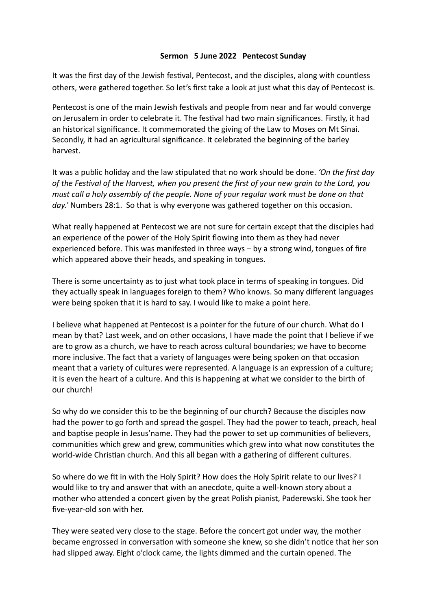## **Sermon 5 June 2022 Pentecost Sunday**

It was the first day of the Jewish festival, Pentecost, and the disciples, along with countless others, were gathered together. So let's first take a look at just what this day of Pentecost is.

Pentecost is one of the main Jewish festivals and people from near and far would converge on Jerusalem in order to celebrate it. The festival had two main significances. Firstly, it had an historical significance. It commemorated the giving of the Law to Moses on Mt Sinai. Secondly, it had an agricultural significance. It celebrated the beginning of the barley harvest.

It was a public holiday and the law stipulated that no work should be done. *'On the first day of the Festival of the Harvest, when you present the first of your new grain to the Lord, you must call a holy assembly of the people. None of your regular work must be done on that day.'* Numbers 28:1. So that is why everyone was gathered together on this occasion.

What really happened at Pentecost we are not sure for certain except that the disciples had an experience of the power of the Holy Spirit flowing into them as they had never experienced before. This was manifested in three ways – by a strong wind, tongues of fire which appeared above their heads, and speaking in tongues.

There is some uncertainty as to just what took place in terms of speaking in tongues. Did they actually speak in languages foreign to them? Who knows. So many different languages were being spoken that it is hard to say. I would like to make a point here.

I believe what happened at Pentecost is a pointer for the future of our church. What do I mean by that? Last week, and on other occasions, I have made the point that I believe if we are to grow as a church, we have to reach across cultural boundaries; we have to become more inclusive. The fact that a variety of languages were being spoken on that occasion meant that a variety of cultures were represented. A language is an expression of a culture; it is even the heart of a culture. And this is happening at what we consider to the birth of our church!

So why do we consider this to be the beginning of our church? Because the disciples now had the power to go forth and spread the gospel. They had the power to teach, preach, heal and baptise people in Jesus'name. They had the power to set up communities of believers, communities which grew and grew, communities which grew into what now constitutes the world-wide Christian church. And this all began with a gathering of different cultures.

So where do we fit in with the Holy Spirit? How does the Holy Spirit relate to our lives? I would like to try and answer that with an anecdote, quite a well-known story about a mother who attended a concert given by the great Polish pianist, Paderewski. She took her five-year-old son with her.

They were seated very close to the stage. Before the concert got under way, the mother became engrossed in conversation with someone she knew, so she didn't notice that her son had slipped away. Eight o'clock came, the lights dimmed and the curtain opened. The